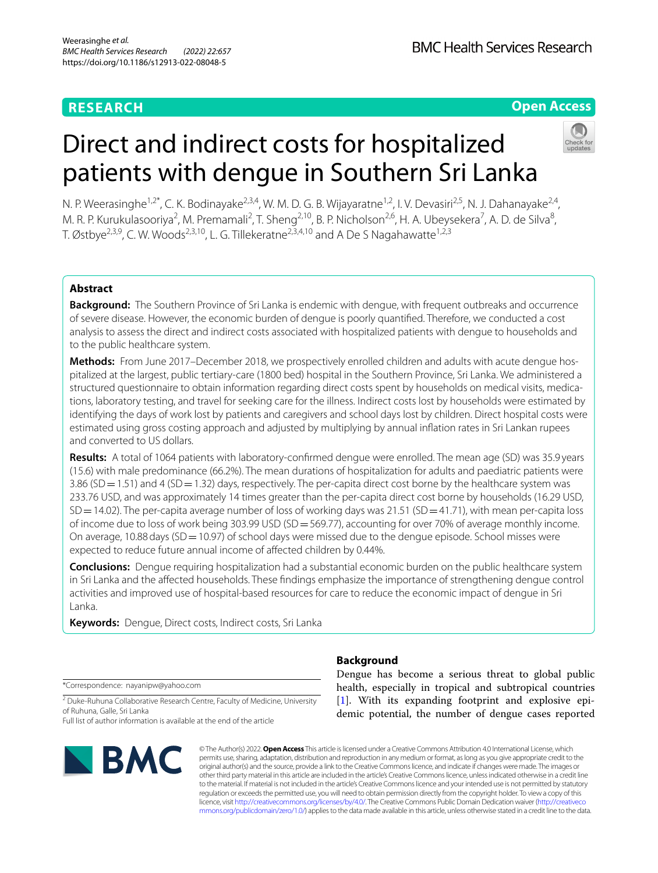# **RESEARCH**

**BMC Health Services Research** 

# **Open Access**

# Direct and indirect costs for hospitalized patients with dengue in Southern Sri Lanka

N. P. Weerasinghe<sup>1,2\*</sup>, C. K. Bodinayake<sup>2,3,4</sup>, W. M. D. G. B. Wijayaratne<sup>1,2</sup>, I. V. Devasiri<sup>2,5</sup>, N. J. Dahanayake<sup>2,4</sup>, M. R. P. Kurukulasooriya<sup>2</sup>, M. Premamali<sup>2</sup>, T. Sheng<sup>2,10</sup>, B. P. Nicholson<sup>2,6</sup>, H. A. Ubeysekera<sup>7</sup>, A. D. de Silva<sup>8</sup>, T. Østbye<sup>2,3,9</sup>, C. W. Woods<sup>2,3,10</sup>, L. G. Tillekeratne<sup>2,3,4,10</sup> and A De S Nagahawatte<sup>1,2,3</sup>

# **Abstract**

**Background:** The Southern Province of Sri Lanka is endemic with dengue, with frequent outbreaks and occurrence of severe disease. However, the economic burden of dengue is poorly quantifed. Therefore, we conducted a cost analysis to assess the direct and indirect costs associated with hospitalized patients with dengue to households and to the public healthcare system.

**Methods:** From June 2017–December 2018, we prospectively enrolled children and adults with acute dengue hospitalized at the largest, public tertiary-care (1800 bed) hospital in the Southern Province, Sri Lanka. We administered a structured questionnaire to obtain information regarding direct costs spent by households on medical visits, medications, laboratory testing, and travel for seeking care for the illness. Indirect costs lost by households were estimated by identifying the days of work lost by patients and caregivers and school days lost by children. Direct hospital costs were estimated using gross costing approach and adjusted by multiplying by annual infation rates in Sri Lankan rupees and converted to US dollars.

**Results:** A total of 1064 patients with laboratory-confrmed dengue were enrolled. The mean age (SD) was 35.9 years (15.6) with male predominance (66.2%). The mean durations of hospitalization for adults and paediatric patients were 3.86 (SD=1.51) and 4 (SD=1.32) days, respectively. The per-capita direct cost borne by the healthcare system was 233.76 USD, and was approximately 14 times greater than the per-capita direct cost borne by households (16.29 USD,  $SD = 14.02$ ). The per-capita average number of loss of working days was 21.51 ( $SD = 41.71$ ), with mean per-capita loss of income due to loss of work being 303.99 USD (SD = 569.77), accounting for over 70% of average monthly income. On average, 10.88 days (SD = 10.97) of school days were missed due to the dengue episode. School misses were expected to reduce future annual income of afected children by 0.44%.

**Conclusions:** Dengue requiring hospitalization had a substantial economic burden on the public healthcare system in Sri Lanka and the afected households. These fndings emphasize the importance of strengthening dengue control activities and improved use of hospital-based resources for care to reduce the economic impact of dengue in Sri Lanka.

**Keywords:** Dengue, Direct costs, Indirect costs, Sri Lanka

\*Correspondence: nayanipw@yahoo.com

<sup>2</sup> Duke-Ruhuna Collaborative Research Centre, Faculty of Medicine, University of Ruhuna, Galle, Sri Lanka

Full list of author information is available at the end of the article



# **Background**

Dengue has become a serious threat to global public health, especially in tropical and subtropical countries [[1\]](#page-7-0). With its expanding footprint and explosive epidemic potential, the number of dengue cases reported

© The Author(s) 2022. **Open Access** This article is licensed under a Creative Commons Attribution 4.0 International License, which permits use, sharing, adaptation, distribution and reproduction in any medium or format, as long as you give appropriate credit to the original author(s) and the source, provide a link to the Creative Commons licence, and indicate if changes were made. The images or other third party material in this article are included in the article's Creative Commons licence, unless indicated otherwise in a credit line to the material. If material is not included in the article's Creative Commons licence and your intended use is not permitted by statutory regulation or exceeds the permitted use, you will need to obtain permission directly from the copyright holder. To view a copy of this licence, visit [http://creativecommons.org/licenses/by/4.0/.](http://creativecommons.org/licenses/by/4.0/) The Creative Commons Public Domain Dedication waiver ([http://creativeco](http://creativecommons.org/publicdomain/zero/1.0/) [mmons.org/publicdomain/zero/1.0/](http://creativecommons.org/publicdomain/zero/1.0/)) applies to the data made available in this article, unless otherwise stated in a credit line to the data.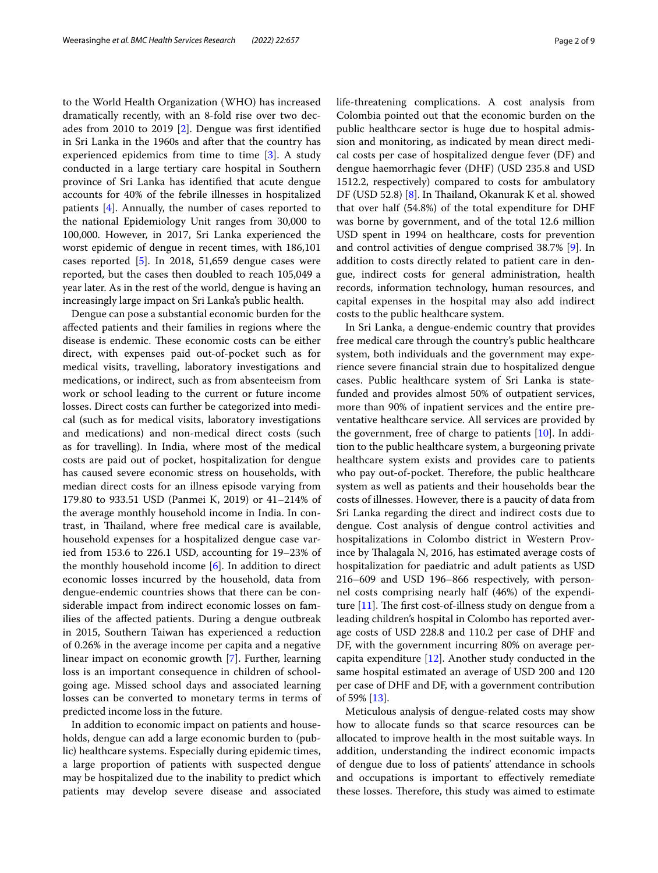to the World Health Organization (WHO) has increased dramatically recently, with an 8-fold rise over two decades from 2010 to 2019 [[2\]](#page-7-1). Dengue was frst identifed in Sri Lanka in the 1960s and after that the country has experienced epidemics from time to time [\[3](#page-7-2)]. A study conducted in a large tertiary care hospital in Southern province of Sri Lanka has identifed that acute dengue accounts for 40% of the febrile illnesses in hospitalized patients [\[4](#page-7-3)]. Annually, the number of cases reported to the national Epidemiology Unit ranges from 30,000 to 100,000. However, in 2017, Sri Lanka experienced the worst epidemic of dengue in recent times, with 186,101 cases reported [[5\]](#page-7-4). In 2018, 51,659 dengue cases were reported, but the cases then doubled to reach 105,049 a year later. As in the rest of the world, dengue is having an increasingly large impact on Sri Lanka's public health.

Dengue can pose a substantial economic burden for the afected patients and their families in regions where the disease is endemic. These economic costs can be either direct, with expenses paid out-of-pocket such as for medical visits, travelling, laboratory investigations and medications, or indirect, such as from absenteeism from work or school leading to the current or future income losses. Direct costs can further be categorized into medical (such as for medical visits, laboratory investigations and medications) and non-medical direct costs (such as for travelling). In India, where most of the medical costs are paid out of pocket, hospitalization for dengue has caused severe economic stress on households, with median direct costs for an illness episode varying from 179.80 to 933.51 USD (Panmei K, 2019) or 41–214% of the average monthly household income in India. In contrast, in Tailand, where free medical care is available, household expenses for a hospitalized dengue case varied from 153.6 to 226.1 USD, accounting for 19–23% of the monthly household income [[6\]](#page-7-5). In addition to direct economic losses incurred by the household, data from dengue-endemic countries shows that there can be considerable impact from indirect economic losses on families of the afected patients. During a dengue outbreak in 2015, Southern Taiwan has experienced a reduction of 0.26% in the average income per capita and a negative linear impact on economic growth [[7\]](#page-7-6). Further, learning loss is an important consequence in children of schoolgoing age. Missed school days and associated learning losses can be converted to monetary terms in terms of predicted income loss in the future.

In addition to economic impact on patients and households, dengue can add a large economic burden to (public) healthcare systems. Especially during epidemic times, a large proportion of patients with suspected dengue may be hospitalized due to the inability to predict which patients may develop severe disease and associated life-threatening complications. A cost analysis from Colombia pointed out that the economic burden on the public healthcare sector is huge due to hospital admission and monitoring, as indicated by mean direct medical costs per case of hospitalized dengue fever (DF) and dengue haemorrhagic fever (DHF) (USD 235.8 and USD 1512.2, respectively) compared to costs for ambulatory DF (USD 52.8) [[8\]](#page-7-7). In Thailand, Okanurak K et al. showed that over half (54.8%) of the total expenditure for DHF was borne by government, and of the total 12.6 million USD spent in 1994 on healthcare, costs for prevention and control activities of dengue comprised 38.7% [\[9](#page-8-0)]. In addition to costs directly related to patient care in dengue, indirect costs for general administration, health records, information technology, human resources, and capital expenses in the hospital may also add indirect costs to the public healthcare system.

In Sri Lanka, a dengue-endemic country that provides free medical care through the country's public healthcare system, both individuals and the government may experience severe fnancial strain due to hospitalized dengue cases. Public healthcare system of Sri Lanka is statefunded and provides almost 50% of outpatient services, more than 90% of inpatient services and the entire preventative healthcare service. All services are provided by the government, free of charge to patients [[10\]](#page-8-1). In addition to the public healthcare system, a burgeoning private healthcare system exists and provides care to patients who pay out-of-pocket. Therefore, the public healthcare system as well as patients and their households bear the costs of illnesses. However, there is a paucity of data from Sri Lanka regarding the direct and indirect costs due to dengue. Cost analysis of dengue control activities and hospitalizations in Colombo district in Western Province by Thalagala N, 2016, has estimated average costs of hospitalization for paediatric and adult patients as USD 216–609 and USD 196–866 respectively, with personnel costs comprising nearly half (46%) of the expenditure  $[11]$ . The first cost-of-illness study on dengue from a leading children's hospital in Colombo has reported average costs of USD 228.8 and 110.2 per case of DHF and DF, with the government incurring 80% on average percapita expenditure [\[12](#page-8-3)]. Another study conducted in the same hospital estimated an average of USD 200 and 120 per case of DHF and DF, with a government contribution of 59% [\[13](#page-8-4)].

Meticulous analysis of dengue-related costs may show how to allocate funds so that scarce resources can be allocated to improve health in the most suitable ways. In addition, understanding the indirect economic impacts of dengue due to loss of patients' attendance in schools and occupations is important to efectively remediate these losses. Therefore, this study was aimed to estimate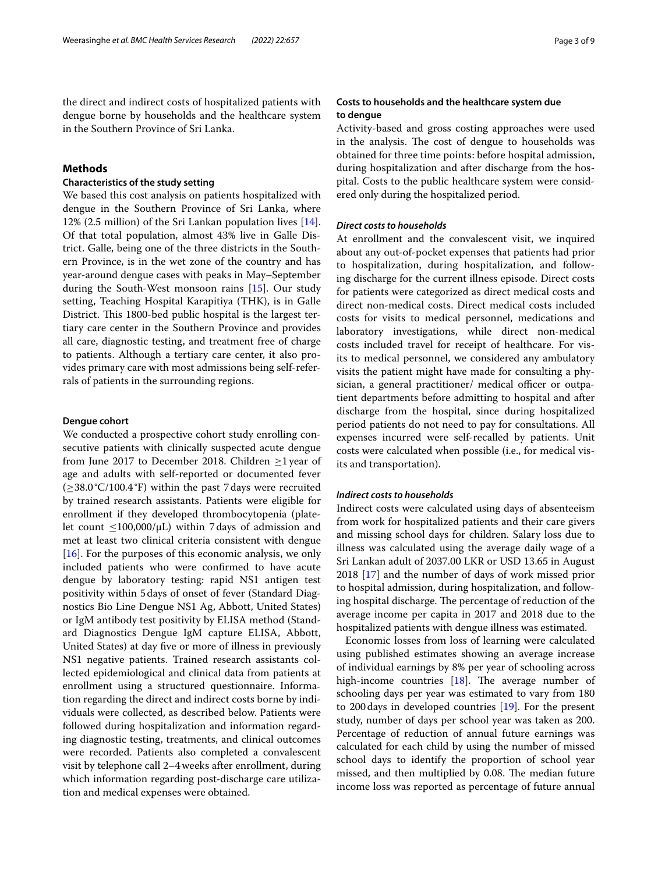the direct and indirect costs of hospitalized patients with dengue borne by households and the healthcare system in the Southern Province of Sri Lanka.

### **Methods**

#### **Characteristics of the study setting**

We based this cost analysis on patients hospitalized with dengue in the Southern Province of Sri Lanka, where 12% (2.5 million) of the Sri Lankan population lives [\[14](#page-8-5)]. Of that total population, almost 43% live in Galle District. Galle, being one of the three districts in the Southern Province, is in the wet zone of the country and has year-around dengue cases with peaks in May–September during the South-West monsoon rains [\[15\]](#page-8-6). Our study setting, Teaching Hospital Karapitiya (THK), is in Galle District. This 1800-bed public hospital is the largest tertiary care center in the Southern Province and provides all care, diagnostic testing, and treatment free of charge to patients. Although a tertiary care center, it also provides primary care with most admissions being self-referrals of patients in the surrounding regions.

#### **Dengue cohort**

We conducted a prospective cohort study enrolling consecutive patients with clinically suspected acute dengue from June 2017 to December 2018. Children  $\geq$ 1 year of age and adults with self-reported or documented fever (≥38.0°C/100.4°F) within the past 7days were recruited by trained research assistants. Patients were eligible for enrollment if they developed thrombocytopenia (platelet count  $\leq$ 100,000/ $\mu$ L) within 7 days of admission and met at least two clinical criteria consistent with dengue [[16\]](#page-8-7). For the purposes of this economic analysis, we only included patients who were confrmed to have acute dengue by laboratory testing: rapid NS1 antigen test positivity within 5days of onset of fever (Standard Diagnostics Bio Line Dengue NS1 Ag, Abbott, United States) or IgM antibody test positivity by ELISA method (Standard Diagnostics Dengue IgM capture ELISA, Abbott, United States) at day fve or more of illness in previously NS1 negative patients. Trained research assistants collected epidemiological and clinical data from patients at enrollment using a structured questionnaire. Information regarding the direct and indirect costs borne by individuals were collected, as described below. Patients were followed during hospitalization and information regarding diagnostic testing, treatments, and clinical outcomes were recorded. Patients also completed a convalescent visit by telephone call 2–4weeks after enrollment, during which information regarding post-discharge care utilization and medical expenses were obtained.

# **Costs to households and the healthcare system due to dengue**

Activity-based and gross costing approaches were used in the analysis. The cost of dengue to households was obtained for three time points: before hospital admission, during hospitalization and after discharge from the hospital. Costs to the public healthcare system were considered only during the hospitalized period.

#### *Direct costs to households*

At enrollment and the convalescent visit, we inquired about any out-of-pocket expenses that patients had prior to hospitalization, during hospitalization, and following discharge for the current illness episode. Direct costs for patients were categorized as direct medical costs and direct non-medical costs. Direct medical costs included costs for visits to medical personnel, medications and laboratory investigations, while direct non-medical costs included travel for receipt of healthcare. For visits to medical personnel, we considered any ambulatory visits the patient might have made for consulting a physician, a general practitioner/ medical officer or outpatient departments before admitting to hospital and after discharge from the hospital, since during hospitalized period patients do not need to pay for consultations. All expenses incurred were self-recalled by patients. Unit costs were calculated when possible (i.e., for medical visits and transportation).

### *Indirect costs to households*

Indirect costs were calculated using days of absenteeism from work for hospitalized patients and their care givers and missing school days for children. Salary loss due to illness was calculated using the average daily wage of a Sri Lankan adult of 2037.00 LKR or USD 13.65 in August 2018 [[17\]](#page-8-8) and the number of days of work missed prior to hospital admission, during hospitalization, and following hospital discharge. The percentage of reduction of the average income per capita in 2017 and 2018 due to the hospitalized patients with dengue illness was estimated.

Economic losses from loss of learning were calculated using published estimates showing an average increase of individual earnings by 8% per year of schooling across high-income countries  $[18]$ . The average number of schooling days per year was estimated to vary from 180 to 200 days in developed countries  $[19]$  $[19]$ . For the present study, number of days per school year was taken as 200. Percentage of reduction of annual future earnings was calculated for each child by using the number of missed school days to identify the proportion of school year missed, and then multiplied by 0.08. The median future income loss was reported as percentage of future annual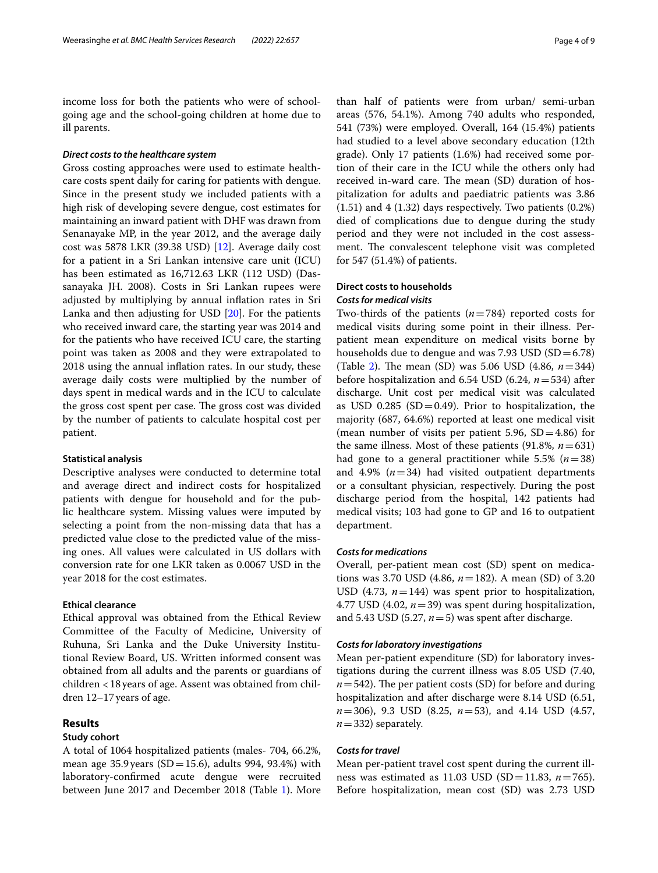income loss for both the patients who were of schoolgoing age and the school-going children at home due to ill parents.

#### *Direct costs to the healthcare system*

Gross costing approaches were used to estimate healthcare costs spent daily for caring for patients with dengue. Since in the present study we included patients with a high risk of developing severe dengue, cost estimates for maintaining an inward patient with DHF was drawn from Senanayake MP, in the year 2012, and the average daily cost was 5878 LKR (39.38 USD) [[12\]](#page-8-3). Average daily cost for a patient in a Sri Lankan intensive care unit (ICU) has been estimated as 16,712.63 LKR (112 USD) (Dassanayaka JH. 2008). Costs in Sri Lankan rupees were adjusted by multiplying by annual infation rates in Sri Lanka and then adjusting for USD [\[20](#page-8-11)]. For the patients who received inward care, the starting year was 2014 and for the patients who have received ICU care, the starting point was taken as 2008 and they were extrapolated to 2018 using the annual infation rates. In our study, these average daily costs were multiplied by the number of days spent in medical wards and in the ICU to calculate the gross cost spent per case. The gross cost was divided by the number of patients to calculate hospital cost per patient.

#### **Statistical analysis**

Descriptive analyses were conducted to determine total and average direct and indirect costs for hospitalized patients with dengue for household and for the public healthcare system. Missing values were imputed by selecting a point from the non-missing data that has a predicted value close to the predicted value of the missing ones. All values were calculated in US dollars with conversion rate for one LKR taken as 0.0067 USD in the year 2018 for the cost estimates.

#### **Ethical clearance**

Ethical approval was obtained from the Ethical Review Committee of the Faculty of Medicine, University of Ruhuna, Sri Lanka and the Duke University Institutional Review Board, US. Written informed consent was obtained from all adults and the parents or guardians of children <18years of age. Assent was obtained from children 12–17years of age.

# **Results**

#### **Study cohort**

A total of 1064 hospitalized patients (males- 704, 66.2%, mean age 35.9 years (SD = 15.6), adults 994, 93.4%) with laboratory-confrmed acute dengue were recruited between June 2017 and December 2018 (Table [1](#page-4-0)). More than half of patients were from urban/ semi-urban areas (576, 54.1%). Among 740 adults who responded, 541 (73%) were employed. Overall, 164 (15.4%) patients had studied to a level above secondary education (12th grade). Only 17 patients (1.6%) had received some portion of their care in the ICU while the others only had received in-ward care. The mean (SD) duration of hospitalization for adults and paediatric patients was 3.86 (1.51) and 4 (1.32) days respectively. Two patients (0.2%) died of complications due to dengue during the study period and they were not included in the cost assessment. The convalescent telephone visit was completed for 547 (51.4%) of patients.

# **Direct costs to households**

# *Costs for medical visits*

Two-thirds of the patients  $(n=784)$  reported costs for medical visits during some point in their illness. Perpatient mean expenditure on medical visits borne by households due to dengue and was 7.93 USD  $(SD=6.78)$ (Table [2\)](#page-4-1). The mean (SD) was 5.06 USD  $(4.86, n=344)$ before hospitalization and 6.54 USD (6.24, *n*=534) after discharge. Unit cost per medical visit was calculated as USD 0.285 (SD  $=$  0.49). Prior to hospitalization, the majority (687, 64.6%) reported at least one medical visit (mean number of visits per patient 5.96,  $SD = 4.86$ ) for the same illness. Most of these patients  $(91.8\%, n=631)$ had gone to a general practitioner while 5.5% (*n*=38) and 4.9% (*n*=34) had visited outpatient departments or a consultant physician, respectively. During the post discharge period from the hospital, 142 patients had medical visits; 103 had gone to GP and 16 to outpatient department.

### *Costs for medications*

Overall, per-patient mean cost (SD) spent on medications was 3.70 USD (4.86, *n*=182). A mean (SD) of 3.20 USD (4.73,  $n=144$ ) was spent prior to hospitalization, 4.77 USD (4.02, *n*=39) was spent during hospitalization, and 5.43 USD (5.27,  $n=5$ ) was spent after discharge.

#### *Costs for laboratory investigations*

Mean per-patient expenditure (SD) for laboratory investigations during the current illness was 8.05 USD (7.40,  $n = 542$ ). The per patient costs (SD) for before and during hospitalization and after discharge were 8.14 USD (6.51, *n*=306), 9.3 USD (8.25, *n*=53), and 4.14 USD (4.57,  $n=332$ ) separately.

#### *Costs for travel*

Mean per-patient travel cost spent during the current illness was estimated as 11.03 USD (SD=11.83, *n*=765). Before hospitalization, mean cost (SD) was 2.73 USD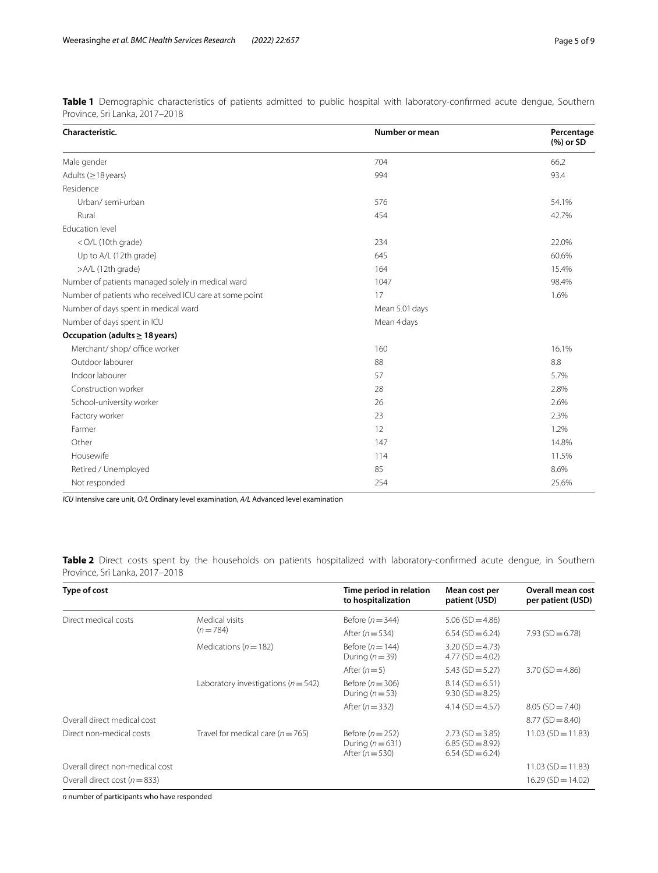<span id="page-4-0"></span>**Table 1** Demographic characteristics of patients admitted to public hospital with laboratory-confrmed acute dengue, Southern Province, Sri Lanka, 2017–2018

| Characteristic.                                                  | Number or mean | Percentage<br>(%) or SD |
|------------------------------------------------------------------|----------------|-------------------------|
| Male gender                                                      | 704            | 66.2                    |
| Adults ( $\geq$ 18 years)                                        | 994            | 93.4                    |
| Residence                                                        |                |                         |
| Urban/ semi-urban                                                | 576            | 54.1%                   |
| Rural                                                            | 454            | 42.7%                   |
| <b>Education level</b>                                           |                |                         |
| <o (10th="" grade)<="" l="" td=""><td>234</td><td>22.0%</td></o> | 234            | 22.0%                   |
| Up to A/L (12th grade)                                           | 645            | 60.6%                   |
| >A/L (12th grade)                                                | 164            | 15.4%                   |
| Number of patients managed solely in medical ward                | 1047           | 98.4%                   |
| Number of patients who received ICU care at some point           | 17             | 1.6%                    |
| Number of days spent in medical ward                             | Mean 5.01 days |                         |
| Number of days spent in ICU                                      | Mean 4 days    |                         |
| Occupation (adults $\geq$ 18 years)                              |                |                         |
| Merchant/ shop/ office worker                                    | 160            | 16.1%                   |
| Outdoor labourer                                                 | 88             | 8.8                     |
| Indoor labourer                                                  | 57             | 5.7%                    |
| Construction worker                                              | 28             | 2.8%                    |
| School-university worker                                         | 26             | 2.6%                    |
| Factory worker                                                   | 23             | 2.3%                    |
| Farmer                                                           | 12             | 1.2%                    |
| Other                                                            | 147            | 14.8%                   |
| Housewife                                                        | 114            | 11.5%                   |
| Retired / Unemployed                                             | 85             | 8.6%                    |
| Not responded                                                    | 254            | 25.6%                   |

*ICU* Intensive care unit, *O/L* Ordinary level examination, *A/L* Advanced level examination

<span id="page-4-1"></span>**Table 2** Direct costs spent by the households on patients hospitalized with laboratory-confirmed acute dengue, in Southern Province, Sri Lanka, 2017–2018

| Type of cost                      |                                         | Time period in relation<br>to hospitalization           | Mean cost per<br>patient (USD)                                | <b>Overall mean cost</b><br>per patient (USD) |
|-----------------------------------|-----------------------------------------|---------------------------------------------------------|---------------------------------------------------------------|-----------------------------------------------|
| Direct medical costs              | Medical visits<br>$(n=784)$             | Before $(n=344)$                                        | $5.06$ (SD = 4.86)                                            |                                               |
|                                   |                                         | After $(n=534)$                                         | $6.54$ (SD = 6.24)                                            | $7.93$ (SD = 6.78)                            |
|                                   | Medications ( $n = 182$ )               | Before $(n=144)$<br>During ( $n = 39$ )                 | $3.20(SD = 4.73)$<br>$4.77(SD = 4.02)$                        |                                               |
|                                   |                                         | After $(n=5)$                                           | $5.43$ (SD = 5.27)                                            | $3.70$ (SD = 4.86)                            |
|                                   | Laboratory investigations ( $n = 542$ ) | Before $(n=306)$<br>During $(n=53)$                     | $8.14(SD = 6.51)$<br>$9.30(SD = 8.25)$                        |                                               |
|                                   |                                         | After $(n=332)$                                         | $4.14(SD = 4.57)$                                             | $8.05$ (SD = 7.40)                            |
| Overall direct medical cost       |                                         |                                                         |                                                               | $8.77(SD = 8.40)$                             |
| Direct non-medical costs          | Travel for medical care ( $n = 765$ )   | Before $(n=252)$<br>During $(n=631)$<br>After $(n=530)$ | $2.73$ (SD = 3.85)<br>$6.85(SD = 8.92)$<br>$6.54$ (SD = 6.24) | $11.03$ (SD = 11.83)                          |
| Overall direct non-medical cost   |                                         |                                                         |                                                               | $11.03$ (SD = 11.83)                          |
| Overall direct cost ( $n = 833$ ) |                                         |                                                         |                                                               | $16.29$ (SD = 14.02)                          |

*n* number of participants who have responded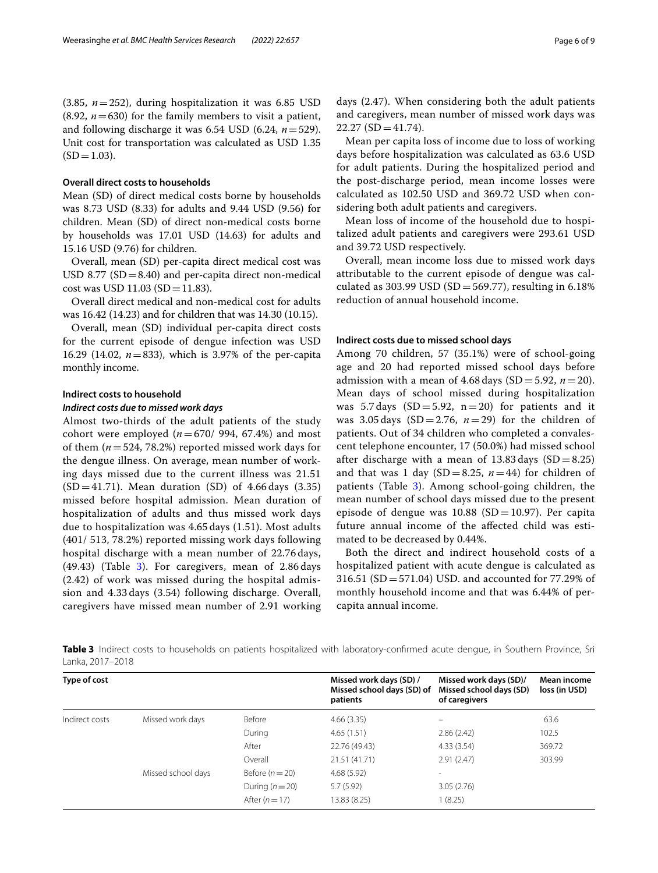(3.85,  $n = 252$ ), during hospitalization it was 6.85 USD  $(8.92, n=630)$  for the family members to visit a patient, and following discharge it was 6.54 USD (6.24, *n*=529). Unit cost for transportation was calculated as USD 1.35  $(SD=1.03)$ .

#### **Overall direct costs to households**

Mean (SD) of direct medical costs borne by households was 8.73 USD (8.33) for adults and 9.44 USD (9.56) for children. Mean (SD) of direct non-medical costs borne by households was 17.01 USD (14.63) for adults and 15.16 USD (9.76) for children.

Overall, mean (SD) per-capita direct medical cost was USD 8.77  $(SD = 8.40)$  and per-capita direct non-medical cost was USD 11.03 (SD=11.83).

Overall direct medical and non-medical cost for adults was 16.42 (14.23) and for children that was 14.30 (10.15).

Overall, mean (SD) individual per-capita direct costs for the current episode of dengue infection was USD 16.29 (14.02, *n*=833), which is 3.97% of the per-capita monthly income.

#### **Indirect costs to household**

# *Indirect costs due to missed work days*

Almost two-thirds of the adult patients of the study cohort were employed  $(n=670/994, 67.4%)$  and most of them  $(n=524, 78.2%)$  reported missed work days for the dengue illness. On average, mean number of working days missed due to the current illness was 21.51  $(SD = 41.71)$ . Mean duration  $(SD)$  of 4.66 days (3.35) missed before hospital admission. Mean duration of hospitalization of adults and thus missed work days due to hospitalization was 4.65 days (1.51). Most adults (401/ 513, 78.2%) reported missing work days following hospital discharge with a mean number of 22.76 days,  $(49.43)$  $(49.43)$  (Table 3). For caregivers, mean of 2.86 days (2.42) of work was missed during the hospital admission and 4.33 days (3.54) following discharge. Overall, caregivers have missed mean number of 2.91 working days (2.47). When considering both the adult patients and caregivers, mean number of missed work days was  $22.27$  (SD = 41.74).

Mean per capita loss of income due to loss of working days before hospitalization was calculated as 63.6 USD for adult patients. During the hospitalized period and the post-discharge period, mean income losses were calculated as 102.50 USD and 369.72 USD when considering both adult patients and caregivers.

Mean loss of income of the household due to hospitalized adult patients and caregivers were 293.61 USD and 39.72 USD respectively.

Overall, mean income loss due to missed work days attributable to the current episode of dengue was calculated as 303.99 USD (SD = 569.77), resulting in  $6.18\%$ reduction of annual household income.

#### **Indirect costs due to missed school days**

Among 70 children, 57 (35.1%) were of school-going age and 20 had reported missed school days before admission with a mean of  $4.68 \text{ days}$  (SD = 5.92,  $n = 20$ ). Mean days of school missed during hospitalization was 5.7 days  $(SD = 5.92, n = 20)$  for patients and it was 3.05 days  $(SD=2.76, n=29)$  for the children of patients. Out of 34 children who completed a convalescent telephone encounter, 17 (50.0%) had missed school after discharge with a mean of  $13.83 \text{ days}$  (SD = 8.25) and that was 1 day (SD = 8.25,  $n=44$ ) for children of patients (Table [3\)](#page-5-0). Among school-going children, the mean number of school days missed due to the present episode of dengue was  $10.88$  (SD=10.97). Per capita future annual income of the afected child was estimated to be decreased by 0.44%.

Both the direct and indirect household costs of a hospitalized patient with acute dengue is calculated as 316.51 (SD=571.04) USD. and accounted for 77.29% of monthly household income and that was 6.44% of percapita annual income.

<span id="page-5-0"></span>**Table 3** Indirect costs to households on patients hospitalized with laboratory-confrmed acute dengue, in Southern Province, Sri Lanka, 2017–2018

| Type of cost   |                    |                 | Missed work days (SD) /<br>Missed school days (SD) of<br>patients | Missed work days (SD)/<br>Missed school days (SD)<br>of caregivers | Mean income<br>loss (in USD) |
|----------------|--------------------|-----------------|-------------------------------------------------------------------|--------------------------------------------------------------------|------------------------------|
| Indirect costs | Missed work days   | Before          | 4.66(3.35)                                                        |                                                                    | 63.6                         |
|                |                    | During          | 4.65(1.51)                                                        | 2.86(2.42)                                                         | 102.5                        |
|                |                    | After           | 22.76 (49.43)                                                     | 4.33(3.54)                                                         | 369.72                       |
|                |                    | Overall         | 21.51 (41.71)                                                     | 2.91(2.47)                                                         | 303.99                       |
|                | Missed school days | Before $(n=20)$ | 4.68(5.92)                                                        |                                                                    |                              |
|                |                    | During $(n=20)$ | 5.7(5.92)                                                         | 3.05(2.76)                                                         |                              |
|                |                    | After $(n=17)$  | 13.83 (8.25)                                                      | 1(8.25)                                                            |                              |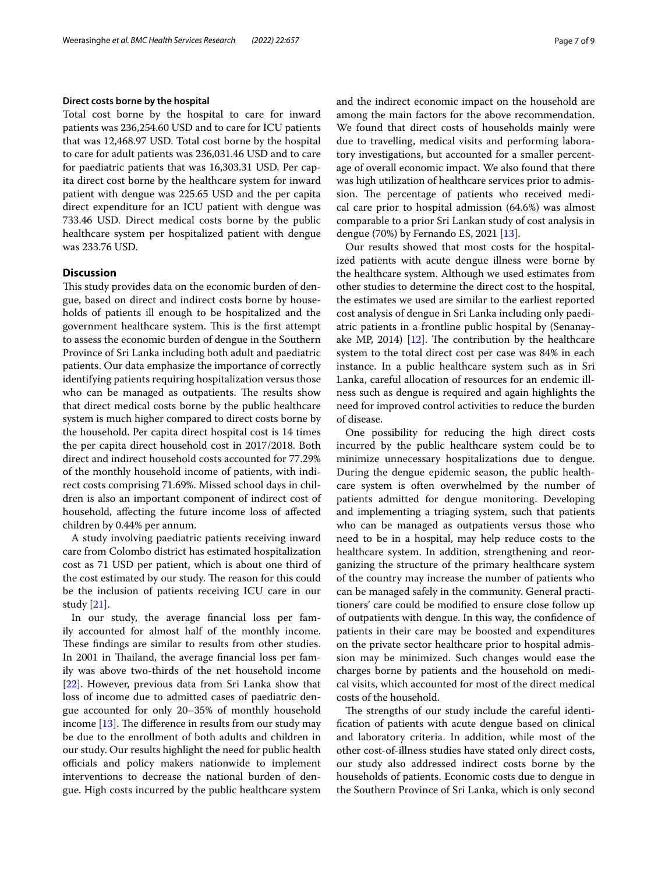#### **Direct costs borne by the hospital**

Total cost borne by the hospital to care for inward patients was 236,254.60 USD and to care for ICU patients that was 12,468.97 USD. Total cost borne by the hospital to care for adult patients was 236,031.46 USD and to care for paediatric patients that was 16,303.31 USD. Per capita direct cost borne by the healthcare system for inward patient with dengue was 225.65 USD and the per capita direct expenditure for an ICU patient with dengue was 733.46 USD. Direct medical costs borne by the public healthcare system per hospitalized patient with dengue was 233.76 USD.

# **Discussion**

This study provides data on the economic burden of dengue, based on direct and indirect costs borne by households of patients ill enough to be hospitalized and the government healthcare system. This is the first attempt to assess the economic burden of dengue in the Southern Province of Sri Lanka including both adult and paediatric patients. Our data emphasize the importance of correctly identifying patients requiring hospitalization versus those who can be managed as outpatients. The results show that direct medical costs borne by the public healthcare system is much higher compared to direct costs borne by the household. Per capita direct hospital cost is 14 times the per capita direct household cost in 2017/2018. Both direct and indirect household costs accounted for 77.29% of the monthly household income of patients, with indirect costs comprising 71.69%. Missed school days in children is also an important component of indirect cost of household, afecting the future income loss of afected children by 0.44% per annum.

A study involving paediatric patients receiving inward care from Colombo district has estimated hospitalization cost as 71 USD per patient, which is about one third of the cost estimated by our study. The reason for this could be the inclusion of patients receiving ICU care in our study [\[21](#page-8-12)].

In our study, the average fnancial loss per family accounted for almost half of the monthly income. These findings are similar to results from other studies. In 2001 in Thailand, the average financial loss per family was above two-thirds of the net household income [[22\]](#page-8-13). However, previous data from Sri Lanka show that loss of income due to admitted cases of paediatric dengue accounted for only 20–35% of monthly household income  $[13]$  $[13]$ . The difference in results from our study may be due to the enrollment of both adults and children in our study. Our results highlight the need for public health officials and policy makers nationwide to implement interventions to decrease the national burden of dengue. High costs incurred by the public healthcare system and the indirect economic impact on the household are among the main factors for the above recommendation. We found that direct costs of households mainly were due to travelling, medical visits and performing laboratory investigations, but accounted for a smaller percentage of overall economic impact. We also found that there was high utilization of healthcare services prior to admission. The percentage of patients who received medical care prior to hospital admission (64.6%) was almost comparable to a prior Sri Lankan study of cost analysis in dengue (70%) by Fernando ES, 2021 [[13\]](#page-8-4).

Our results showed that most costs for the hospitalized patients with acute dengue illness were borne by the healthcare system. Although we used estimates from other studies to determine the direct cost to the hospital, the estimates we used are similar to the earliest reported cost analysis of dengue in Sri Lanka including only paediatric patients in a frontline public hospital by (Senanayake MP, 2014)  $[12]$  $[12]$ . The contribution by the healthcare system to the total direct cost per case was 84% in each instance. In a public healthcare system such as in Sri Lanka, careful allocation of resources for an endemic illness such as dengue is required and again highlights the need for improved control activities to reduce the burden of disease.

One possibility for reducing the high direct costs incurred by the public healthcare system could be to minimize unnecessary hospitalizations due to dengue. During the dengue epidemic season, the public healthcare system is often overwhelmed by the number of patients admitted for dengue monitoring. Developing and implementing a triaging system, such that patients who can be managed as outpatients versus those who need to be in a hospital, may help reduce costs to the healthcare system. In addition, strengthening and reorganizing the structure of the primary healthcare system of the country may increase the number of patients who can be managed safely in the community. General practitioners' care could be modifed to ensure close follow up of outpatients with dengue. In this way, the confdence of patients in their care may be boosted and expenditures on the private sector healthcare prior to hospital admission may be minimized. Such changes would ease the charges borne by patients and the household on medical visits, which accounted for most of the direct medical costs of the household.

The strengths of our study include the careful identifcation of patients with acute dengue based on clinical and laboratory criteria. In addition, while most of the other cost-of-illness studies have stated only direct costs, our study also addressed indirect costs borne by the households of patients. Economic costs due to dengue in the Southern Province of Sri Lanka, which is only second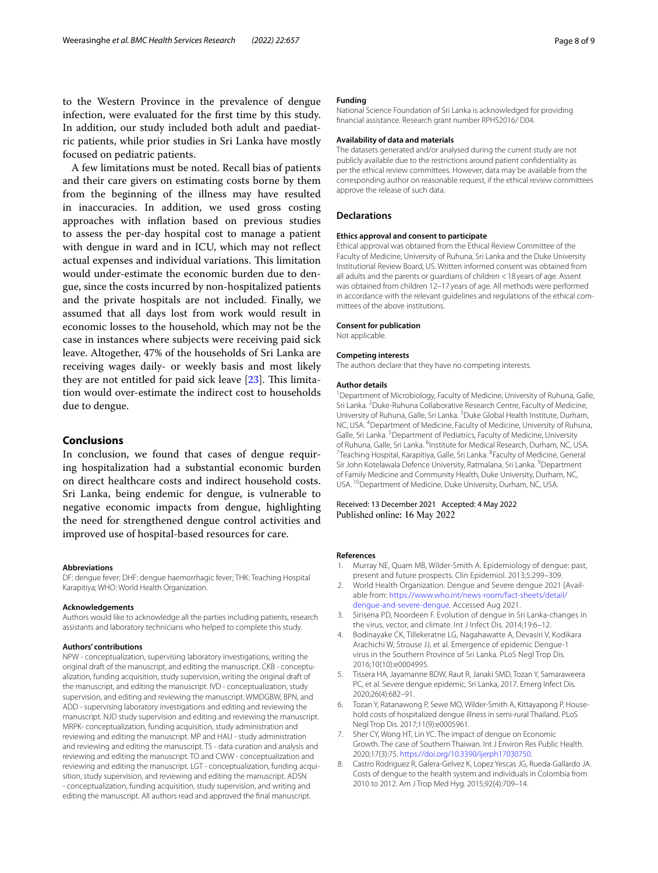to the Western Province in the prevalence of dengue infection, were evaluated for the frst time by this study. In addition, our study included both adult and paediatric patients, while prior studies in Sri Lanka have mostly focused on pediatric patients.

A few limitations must be noted. Recall bias of patients and their care givers on estimating costs borne by them from the beginning of the illness may have resulted in inaccuracies. In addition, we used gross costing approaches with infation based on previous studies to assess the per-day hospital cost to manage a patient with dengue in ward and in ICU, which may not refect actual expenses and individual variations. This limitation would under-estimate the economic burden due to dengue, since the costs incurred by non-hospitalized patients and the private hospitals are not included. Finally, we assumed that all days lost from work would result in economic losses to the household, which may not be the case in instances where subjects were receiving paid sick leave. Altogether, 47% of the households of Sri Lanka are receiving wages daily- or weekly basis and most likely they are not entitled for paid sick leave  $[23]$  $[23]$  $[23]$ . This limitation would over-estimate the indirect cost to households due to dengue.

### **Conclusions**

In conclusion, we found that cases of dengue requiring hospitalization had a substantial economic burden on direct healthcare costs and indirect household costs. Sri Lanka, being endemic for dengue, is vulnerable to negative economic impacts from dengue, highlighting the need for strengthened dengue control activities and improved use of hospital-based resources for care.

#### **Abbreviations**

DF: dengue fever; DHF: dengue haemorrhagic fever; THK: Teaching Hospital Karapitiya; WHO: World Health Organization.

#### **Acknowledgements**

Authors would like to acknowledge all the parties including patients, research assistants and laboratory technicians who helped to complete this study.

#### **Authors' contributions**

NPW - conceptualization, supervising laboratory investigations, writing the original draft of the manuscript, and editing the manuscript. CKB - conceptualization, funding acquisition, study supervision, writing the original draft of the manuscript, and editing the manuscript. IVD - conceptualization, study supervision, and editing and reviewing the manuscript. WMDGBW, BPN, and ADD - supervising laboratory investigations and editing and reviewing the manuscript. NJD study supervision and editing and reviewing the manuscript. MRPK- conceptualization, funding acquisition, study administration and reviewing and editing the manuscript. MP and HAU - study administration and reviewing and editing the manuscript. TS - data curation and analysis and reviewing and editing the manuscript. TO and CWW - conceptualization and reviewing and editing the manuscript. LGT - conceptualization, funding acquisition, study supervision, and reviewing and editing the manuscript. ADSN - conceptualization, funding acquisition, study supervision, and writing and editing the manuscript. All authors read and approved the fnal manuscript.

#### **Funding**

National Science Foundation of Sri Lanka is acknowledged for providing fnancial assistance. Research grant number RPHS2016/ D04.

#### **Availability of data and materials**

The datasets generated and/or analysed during the current study are not publicly available due to the restrictions around patient confdentiality as per the ethical review committees. However, data may be available from the corresponding author on reasonable request, if the ethical review committees approve the release of such data.

## **Declarations**

#### **Ethics approval and consent to participate**

Ethical approval was obtained from the Ethical Review Committee of the Faculty of Medicine, University of Ruhuna, Sri Lanka and the Duke University Institutional Review Board, US. Written informed consent was obtained from all adults and the parents or guardians of children <18 years of age. Assent was obtained from children 12–17 years of age. All methods were performed in accordance with the relevant guidelines and regulations of the ethical committees of the above institutions.

#### **Consent for publication**

Not applicable.

#### **Competing interests**

The authors declare that they have no competing interests.

#### **Author details**

<sup>1</sup> Department of Microbiology, Faculty of Medicine, University of Ruhuna, Galle, Sri Lanka. <sup>2</sup> Duke-Ruhuna Collaborative Research Centre, Faculty of Medicine, University of Ruhuna, Galle, Sri Lanka. <sup>3</sup>Duke Global Health Institute, Durham, NC, USA. 4 Department of Medicine, Faculty of Medicine, University of Ruhuna, Galle, Sri Lanka. <sup>5</sup> Department of Pediatrics, Faculty of Medicine, University of Ruhuna, Galle, Sri Lanka. <sup>6</sup>Institute for Medical Research, Durham, NC, USA.<br><sup>7</sup>Toaching Hospital Karapitiva, Gallo, Sri Lanka, <sup>8</sup>Faculty of Modicing, Goneral Teaching Hospital, Karapitiya, Galle, Sri Lanka. <sup>8</sup>Faculty of Medicine, General Sir John Kotelawala Defence University, Ratmalana, Sri Lanka. <sup>9</sup> Department of Family Medicine and Community Health, Duke University, Durham, NC, USA. <sup>10</sup>Department of Medicine, Duke University, Durham, NC, USA.

Received: 13 December 2021 Accepted: 4 May 2022 Published online: 16 May 2022

#### **References**

- <span id="page-7-0"></span>1. Murray NE, Quam MB, Wilder-Smith A. Epidemiology of dengue: past, present and future prospects. Clin Epidemiol. 2013;5:299–309.
- <span id="page-7-1"></span>2. World Health Organization. Dengue and Severe dengue 2021 [Available from: [https://www.who.int/news-room/fact-sheets/detail/](https://www.who.int/news-room/fact-sheets/detail/dengue-and-severe-dengue) [dengue-and-severe-dengue](https://www.who.int/news-room/fact-sheets/detail/dengue-and-severe-dengue). Accessed Aug 2021.
- <span id="page-7-2"></span>3. Sirisena PD, Noordeen F. Evolution of dengue in Sri Lanka-changes in the virus, vector, and climate. Int J Infect Dis. 2014;19:6–12.
- <span id="page-7-3"></span>4. Bodinayake CK, Tillekeratne LG, Nagahawatte A, Devasiri V, Kodikara Arachichi W, Strouse JJ, et al. Emergence of epidemic Dengue-1 virus in the Southern Province of Sri Lanka. PLoS Negl Trop Dis. 2016;10(10):e0004995.
- <span id="page-7-4"></span>5. Tissera HA, Jayamanne BDW, Raut R, Janaki SMD, Tozan Y, Samaraweera PC, et al. Severe dengue epidemic, Sri Lanka, 2017. Emerg Infect Dis. 2020;26(4):682–91.
- <span id="page-7-5"></span>6. Tozan Y, Ratanawong P, Sewe MO, Wilder-Smith A, Kittayapong P. Household costs of hospitalized dengue illness in semi-rural Thailand. PLoS Negl Trop Dis. 2017;11(9):e0005961.
- <span id="page-7-6"></span>7. Sher CY, Wong HT, Lin YC. The impact of dengue on Economic Growth. The case of Southern Thaiwan. Int J Environ Res Public Health. 2020;17(3):75. [https://doi.org/10.3390/ijerph17030750.](https://doi.org/10.3390/ijerph17030750)
- <span id="page-7-7"></span>8. Castro Rodriguez R, Galera-Gelvez K, Lopez Yescas JG, Rueda-Gallardo JA. Costs of dengue to the health system and individuals in Colombia from 2010 to 2012. Am J Trop Med Hyg. 2015;92(4):709–14.